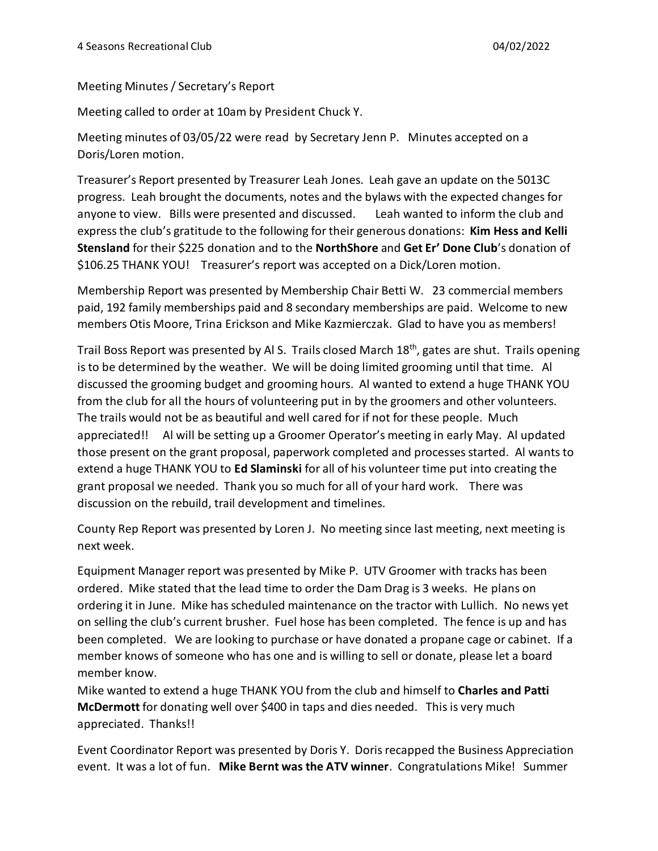Meeting Minutes / Secretary's Report

Meeting called to order at 10am by President Chuck Y.

Meeting minutes of 03/05/22 were read by Secretary Jenn P. Minutes accepted on a Doris/Loren motion.

Treasurer's Report presented by Treasurer Leah Jones. Leah gave an update on the 5013C progress. Leah brought the documents, notes and the bylaws with the expected changes for anyone to view. Bills were presented and discussed. Leah wanted to inform the club and express the club's gratitude to the following for their generous donations: **Kim Hess and Kelli Stensland** for their \$225 donation and to the **NorthShore** and **Get Er' Done Club**'s donation of \$106.25 THANK YOU! Treasurer's report was accepted on a Dick/Loren motion.

Membership Report was presented by Membership Chair Betti W. 23 commercial members paid, 192 family memberships paid and 8 secondary memberships are paid. Welcome to new members Otis Moore, Trina Erickson and Mike Kazmierczak. Glad to have you as members!

Trail Boss Report was presented by Al S. Trails closed March 18<sup>th</sup>, gates are shut. Trails opening is to be determined by the weather. We will be doing limited grooming until that time. Al discussed the grooming budget and grooming hours. Al wanted to extend a huge THANK YOU from the club for all the hours of volunteering put in by the groomers and other volunteers. The trails would not be as beautiful and well cared for if not for these people. Much appreciated!! Al will be setting up a Groomer Operator's meeting in early May. Al updated those present on the grant proposal, paperwork completed and processes started. Al wants to extend a huge THANK YOU to **Ed Slaminski** for all of his volunteer time put into creating the grant proposal we needed. Thank you so much for all of your hard work. There was discussion on the rebuild, trail development and timelines.

County Rep Report was presented by Loren J. No meeting since last meeting, next meeting is next week.

Equipment Manager report was presented by Mike P. UTV Groomer with tracks has been ordered. Mike stated that the lead time to order the Dam Drag is 3 weeks. He plans on ordering it in June. Mike has scheduled maintenance on the tractor with Lullich. No news yet on selling the club's current brusher. Fuel hose has been completed. The fence is up and has been completed. We are looking to purchase or have donated a propane cage or cabinet. If a member knows of someone who has one and is willing to sell or donate, please let a board member know.

Mike wanted to extend a huge THANK YOU from the club and himself to **Charles and Patti McDermott** for donating well over \$400 in taps and dies needed. This is very much appreciated. Thanks!!

Event Coordinator Report was presented by Doris Y. Doris recapped the Business Appreciation event. It was a lot of fun. **Mike Bernt was the ATV winner**. Congratulations Mike! Summer